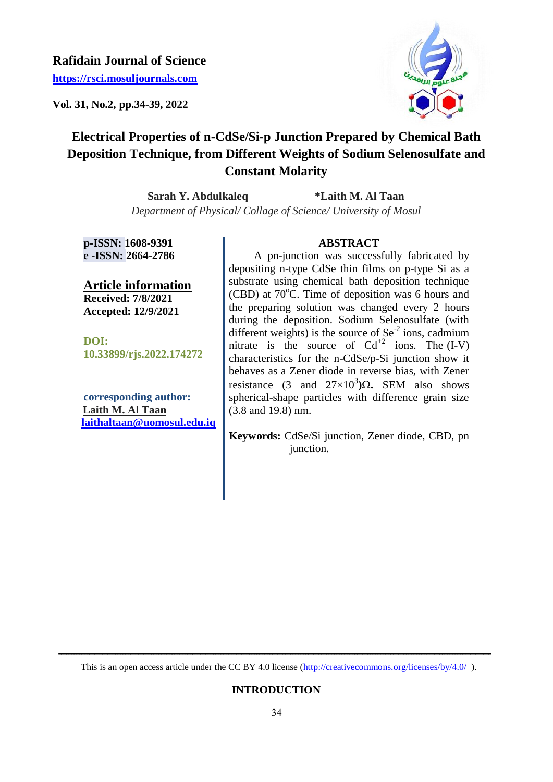## **Rafidain Journal of Science**

**[https://rsci.mosuljournals.com](https://rsci.mosuljournals.com/)**

**Vol. 31, No.2, pp.34-39, 2022**



# **Electrical Properties of n-CdSe/Si-p Junction Prepared by Chemical Bath Deposition Technique, from Different Weights of Sodium Selenosulfate and Constant Molarity**

**Sarah Y. Abdulkaleq \*Laith M. Al Taan** *Department of Physical/ Collage of Science/ University of Mosul*

**p-ISSN: 1608-9391 e -ISSN: 2664-2786**

**Article information Received: 7/8/2021 Accepted: 12/9/2021**

**DOI: 10.33899/rjs.2022.174272**

**corresponding author: Laith M. Al Taan [laithaltaan@uomosul.edu.iq](mailto:laithaltaan@uomosul.edu.iq)**

### **ABSTRACT**

 A pn-junction was successfully fabricated by depositing n-type CdSe thin films on p-type Si as a substrate using chemical bath deposition technique (CBD) at  $70^{\circ}$ C. Time of deposition was 6 hours and the preparing solution was changed every 2 hours during the deposition. Sodium Selenosulfate (with different weights) is the source of  $\text{Se}^2$  ions, cadmium nitrate is the source of  $Cd^{+2}$  ions. The  $(I-V)$ characteristics for the n-CdSe/p-Si junction show it behaves as a Zener diode in reverse bias, with Zener resistance  $(3 \text{ and } 27 \times 10^3)$  $\Omega$ . SEM also shows spherical-shape particles with difference grain size (3.8 and 19.8) nm.

**Keywords:** CdSe/Si junction, Zener diode, CBD, pn junction.

 **ــــــــــــــــــــــــــــــــــــــــــــــــــــــــــــــــــــــــــــــــــــــــــــــــــــــــــــــــــــــــــــــــــــــــــــــــــــــــــــــــــــــــ**  This is an open access article under the CC BY 4.0 license (http://creativecommons.org/licenses/by/4.0/).

## **INTRODUCTION**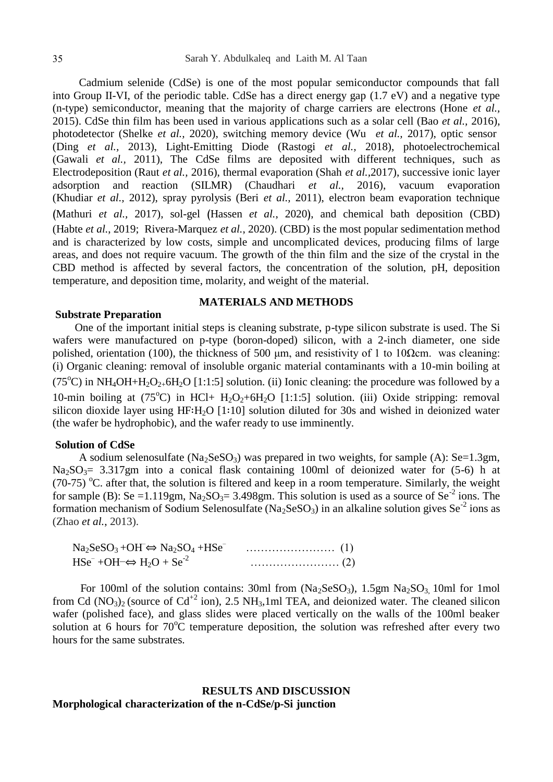Cadmium selenide (CdSe) is one of the most popular semiconductor compounds that fall into Group II-VI, of the periodic table. CdSe has a direct energy gap (1.7 eV) and a negative type (n-type) semiconductor, meaning that the majority of charge carriers are electrons (Hone *et al.,* 2015). CdSe thin film has been used in various applications such as a solar cell (Bao *et al.,* 2016), photodetector (Shelke *et al.,* 2020), switching memory device (Wu *et al.,* 2017), optic sensor (Ding *et al.,* 2013), Light-Emitting Diode (Rastogi *et al.,* 2018), photoelectrochemical (Gawali *et al.,* 2011), The CdSe films are deposited with different techniques, such as Electrodeposition (Raut *et al.,* 2016), thermal evaporation (Shah *et al.,*2017), successive ionic layer adsorption and reaction (SILMR) (Chaudhari *et al.,* 2016), vacuum evaporation (Khudiar *et al.,* 2012), spray pyrolysis (Beri *et al.,* 2011), electron beam evaporation technique (Mathuri *et al.*, 2017), sol-gel (Hassen *et al.*, 2020), and chemical bath deposition (CBD) (Habte *et al.*, 2019; Rivera-Marquez *et al.*, 2020). (CBD) is the most popular sedimentation method and is characterized by low costs, simple and uncomplicated devices, producing films of large areas, and does not require vacuum. The growth of the thin film and the size of the crystal in the CBD method is affected by several factors, the concentration of the solution, pH, deposition temperature, and deposition time, molarity, and weight of the material.

#### **Substrate Preparation**

#### **MATERIALS AND METHODS**

 One of the important initial steps is cleaning substrate, p-type silicon substrate is used. The Si wafers were manufactured on p-type (boron-doped) silicon, with a 2-inch diameter, one side polished, orientation (100), the thickness of 500 μm, and resistivity of 1 to 10Ωcm. was cleaning: (i) Organic cleaning: removal of insoluble organic material contaminants with a 10-min boiling at (75<sup>o</sup>C) in NH<sub>4</sub>OH+H<sub>2</sub>O<sub>2+</sub>6H<sub>2</sub>O [1:1:5] solution. (ii) Ionic cleaning: the procedure was followed by a 10-min boiling at  $(75^{\circ}\text{C})$  in HCl+ H<sub>2</sub>O<sub>2</sub>+6H<sub>2</sub>O [1:1:5] solution. (iii) Oxide stripping: removal silicon dioxide layer using HF∶H2O [1∶10] solution diluted for 30s and wished in deionized water (the wafer be hydrophobic), and the wafer ready to use imminently.

### **Solution of CdSe**

A sodium selenosulfate ( $Na<sub>2</sub>SeSO<sub>3</sub>$ ) was prepared in two weights, for sample (A): Se=1.3gm,  $Na<sub>2</sub>SO<sub>3</sub>= 3.317gm$  into a conical flask containing 100ml of deionized water for (5-6) h at (70-75) <sup>o</sup>C. after that, the solution is filtered and keep in a room temperature. Similarly, the weight for sample (B): Se =1.119gm,  $Na<sub>2</sub>SO<sub>3</sub>=3.498$ gm. This solution is used as a source of Se<sup>-2</sup> ions. The formation mechanism of Sodium Selenosulfate (Na<sub>2</sub>SeSO<sub>3</sub>) in an alkaline solution gives Se<sup>-2</sup> ions as (Zhao *et al.*, 2013).

| $\text{Na}_2\text{SeSO}_3 + \text{OH} \Leftrightarrow \text{Na}_2\text{SO}_4 + \text{HSe}^-$ |  |
|----------------------------------------------------------------------------------------------|--|
| $HSe^{-} + OH^{-} \Leftrightarrow H_2O + Se^{-2}$                                            |  |

For 100ml of the solution contains: 30ml from  $(Na_2SeSO_3)$ , 1.5gm  $Na_2SO_3$  10ml for 1mol from Cd  $(NO<sub>3</sub>)<sub>2</sub>$  (source of Cd<sup>+2</sup> ion), 2.5 NH<sub>3</sub>,1ml TEA, and deionized water. The cleaned silicon wafer (polished face), and glass slides were placed vertically on the walls of the 100ml beaker solution at 6 hours for  $70^{\circ}$ C temperature deposition, the solution was refreshed after every two hours for the same substrates.

### **RESULTS AND DISCUSSION Morphological characterization of the n-CdSe/p-Si junction**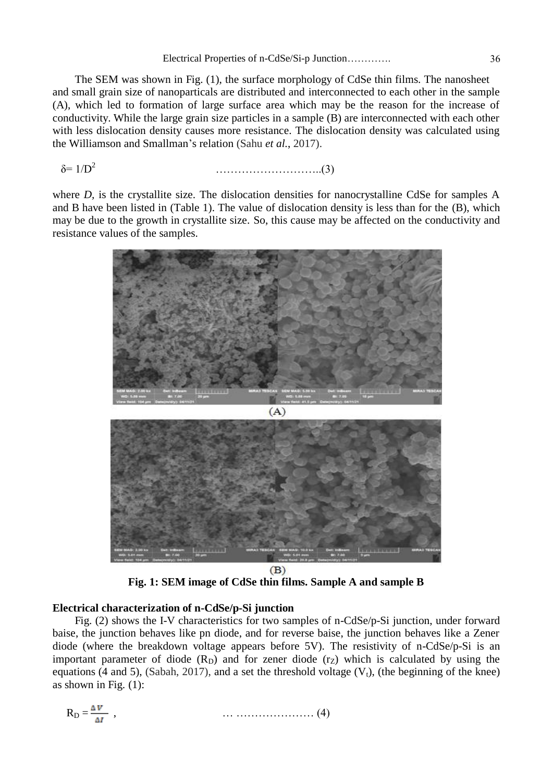#### Electrical Properties of n-CdSe/Si-p Junction…………. 36

 The SEM was shown in Fig. (1), the surface morphology of CdSe thin films. The nanosheet and small grain size of nanoparticals are distributed and interconnected to each other in the sample (A), which led to formation of large surface area which may be the reason for the increase of conductivity. While the large grain size particles in a sample (B) are interconnected with each other with less dislocation density causes more resistance. The dislocation density was calculated using the Williamson and Smallman"s relation (Sahu *et al.*, 2017).

 $δ=1/D<sup>2</sup>$ ………………………..(3)

where *D*, is the crystallite size. The dislocation densities for nanocrystalline CdSe for samples A and B have been listed in (Table 1). The value of dislocation density is less than for the (B), which may be due to the growth in crystallite size. So, this cause may be affected on the conductivity and resistance values of the samples.



**Fig. 1: SEM image of CdSe thin films. Sample A and sample B**

### **Electrical characterization of n-CdSe/p-Si junction**

 Fig. (2) shows the I-V characteristics for two samples of n-CdSe/p-Si junction, under forward baise, the junction behaves like pn diode, and for reverse baise, the junction behaves like a Zener diode (where the breakdown voltage appears before 5V). The resistivity of n-CdSe/p-Si is an important parameter of diode  $(R_D)$  and for zener diode  $(r_Z)$  which is calculated by using the equations (4 and 5), (Sabah, 2017), and a set the threshold voltage  $(V_t)$ , (the beginning of the knee) as shown in Fig. (1):

$$
R_D = \frac{\Delta V}{\Delta I} \quad , \tag{4}
$$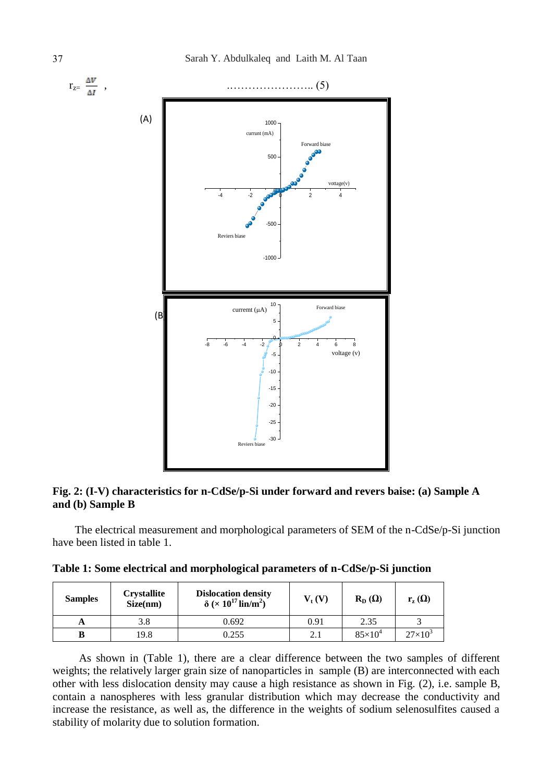

### **Fig. 2: (I-V) characteristics for n-CdSe/p-Si under forward and revers baise: (a) Sample A and (b) Sample B**

 The electrical measurement and morphological parameters of SEM of the n-CdSe/p-Si junction have been listed in table 1.

|  |  |  |  |  |  | Table 1: Some electrical and morphological parameters of n-CdSe/p-Si junction |  |  |
|--|--|--|--|--|--|-------------------------------------------------------------------------------|--|--|
|--|--|--|--|--|--|-------------------------------------------------------------------------------|--|--|

| <b>Samples</b> | <b>Crystallite</b><br>Size(nm) | <b>Dislocation density</b><br>$\delta$ (× 10 <sup>17</sup> lin/m <sup>2</sup> ) | $V_{t}(V)$ | $R_{D}(\Omega)$ | $r_{z}(\Omega)$ |
|----------------|--------------------------------|---------------------------------------------------------------------------------|------------|-----------------|-----------------|
| A              | 3.8                            | 0.692                                                                           | 0.91       | 2.35            |                 |
|                | 19.8                           | 0.255                                                                           | 2.1        | $85\times10^4$  | $27\times10^3$  |

As shown in (Table 1), there are a clear difference between the two samples of different weights; the relatively larger grain size of nanoparticles in sample (B) are interconnected with each other with less dislocation density may cause a high resistance as shown in Fig. (2), i.e. sample B, contain a nanospheres with less granular distribution which may decrease the conductivity and increase the resistance, as well as, the difference in the weights of sodium selenosulfites caused a stability of molarity due to solution formation.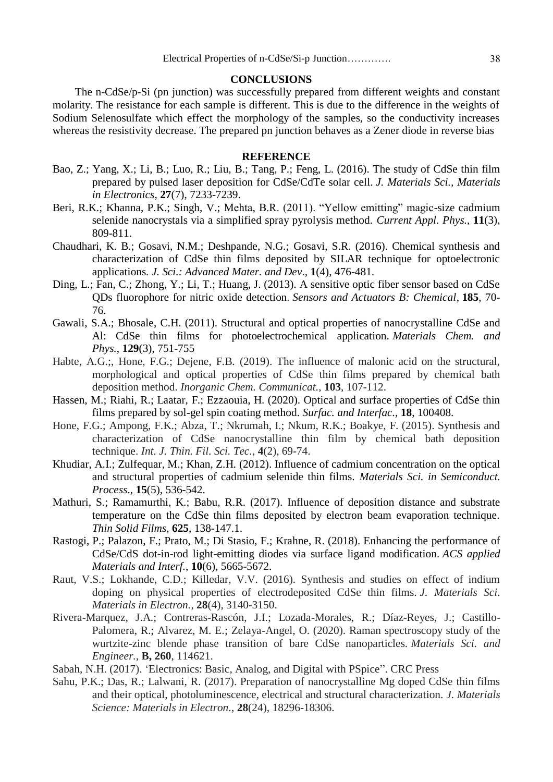#### **CONCLUSIONS**

 The n-CdSe/p-Si (pn junction) was successfully prepared from different weights and constant molarity. The resistance for each sample is different. This is due to the difference in the weights of Sodium Selenosulfate which effect the morphology of the samples, so the conductivity increases whereas the resistivity decrease. The prepared pn junction behaves as a Zener diode in reverse bias

### **REFERENCE**

- Bao, Z.; Yang, X.; Li, B.; Luo, R.; Liu, B.; Tang, P.; Feng, L. (2016). The study of CdSe thin film prepared by pulsed laser deposition for CdSe/CdTe solar cell. *J. Materials Sci., Materials in Electronics*, **27**(7), 7233-7239.
- Beri, R.K.; Khanna, P.K.; Singh, V.; Mehta, B.R. (2011). "Yellow emitting" magic-size cadmium selenide nanocrystals via a simplified spray pyrolysis method. *Current Appl. Phys.*, **11**(3), 809-811.
- Chaudhari, K. B.; Gosavi, N.M.; Deshpande, N.G.; Gosavi, S.R. (2016). Chemical synthesis and characterization of CdSe thin films deposited by SILAR technique for optoelectronic applications*. J. Sci.: Advanced Mater. and Dev*., **1**(4), 476-481.
- Ding, L.; Fan, C.; Zhong, Y.; Li, T.; Huang, J. (2013). A sensitive optic fiber sensor based on CdSe QDs fluorophore for nitric oxide detection. *Sensors and Actuators B: Chemical*, **185**, 70- 76.
- Gawali, S.A.; Bhosale, C.H. (2011). Structural and optical properties of nanocrystalline CdSe and Al: CdSe thin films for photoelectrochemical application. *Materials Chem. and Phys.*, **129**(3), 751-755
- Habte, A.G.;, Hone, F.G.; Dejene, F.B. (2019). The influence of malonic acid on the structural, morphological and optical properties of CdSe thin films prepared by chemical bath deposition method. *Inorganic Chem. Communicat.*, **103**, 107-112.
- Hassen, M.; Riahi, R.; Laatar, F.; Ezzaouia, H. (2020). Optical and surface properties of CdSe thin films prepared by sol-gel spin coating method. *Surfac. and Interfac.*, **18**, 100408.
- Hone, F.G.; Ampong, F.K.; Abza, T.; Nkrumah, I.; Nkum, R.K.; Boakye, F. (2015). Synthesis and characterization of CdSe nanocrystalline thin film by chemical bath deposition technique. *Int. J. Thin. Fil. Sci. Tec.*, **4**(2), 69-74.
- Khudiar, A.I.; Zulfequar, M.; Khan, Z.H. (2012). Influence of cadmium concentration on the optical and structural properties of cadmium selenide thin films. *Materials Sci. in Semiconduct. Process*., **15**(5), 536-542.
- Mathuri, S.; Ramamurthi, K.; Babu, R.R. (2017). Influence of deposition distance and substrate temperature on the CdSe thin films deposited by electron beam evaporation technique. *Thin Solid Films*, **625**, 138-147.1.
- Rastogi, P.; Palazon, F.; Prato, M.; Di Stasio, F.; Krahne, R. (2018). Enhancing the performance of CdSe/CdS dot-in-rod light-emitting diodes via surface ligand modification. *ACS applied Materials and Interf.*, **10**(6), 5665-5672.
- Raut, V.S.; Lokhande, C.D.; Killedar, V.V. (2016). Synthesis and studies on effect of indium doping on physical properties of electrodeposited CdSe thin films. *J. Materials Sci. Materials in Electron.*, **28**(4), 3140-3150.
- Rivera-Marquez, J.A.; Contreras-Rascón, J.I.; Lozada-Morales, R.; Díaz-Reyes, J.; Castillo-Palomera, R.; Alvarez, M. E.; Zelaya-Angel, O. (2020). Raman spectroscopy study of the wurtzite-zinc blende phase transition of bare CdSe nanoparticles. *Materials Sci. and Engineer.,* **B, 260**, 114621.
- Sabah, N.H. (2017). "Electronics: Basic, Analog, and Digital with PSpice". CRC Press
- Sahu, P.K.; Das, R.; Lalwani, R. (2017). Preparation of nanocrystalline Mg doped CdSe thin films and their optical, photoluminescence, electrical and structural characterization. *J. Materials Science: Materials in Electron.*, **28**(24), 18296-18306.